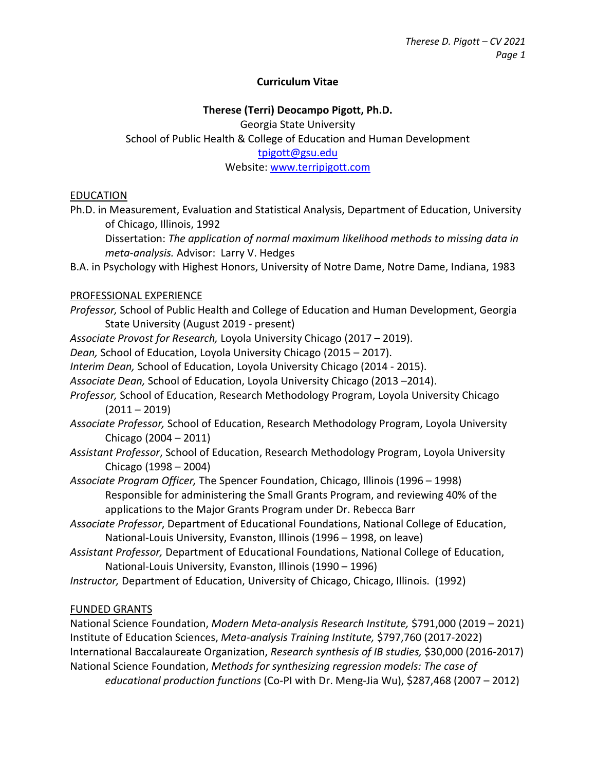### **Curriculum Vitae**

# **Therese (Terri) Deocampo Pigott, Ph.D.** Georgia State University School of Public Health & College of Education and Human Development [tpigott@gsu.edu](mailto:tpigott@gsu.edu) Website[: www.terripigott.com](http://www.terripigott.com/)

#### EDUCATION

Ph.D. in Measurement, Evaluation and Statistical Analysis, Department of Education, University of Chicago, Illinois, 1992

Dissertation: *The application of normal maximum likelihood methods to missing data in meta-analysis.* Advisor: Larry V. Hedges

B.A. in Psychology with Highest Honors, University of Notre Dame, Notre Dame, Indiana, 1983

#### PROFESSIONAL EXPERIENCE

- *Professor,* School of Public Health and College of Education and Human Development, Georgia State University (August 2019 - present)
- *Associate Provost for Research,* Loyola University Chicago (2017 2019).
- *Dean,* School of Education, Loyola University Chicago (2015 2017).
- *Interim Dean,* School of Education, Loyola University Chicago (2014 2015).
- *Associate Dean,* School of Education, Loyola University Chicago (2013 –2014).
- *Professor,* School of Education, Research Methodology Program, Loyola University Chicago  $(2011 - 2019)$
- *Associate Professor,* School of Education, Research Methodology Program, Loyola University Chicago (2004 – 2011)
- *Assistant Professor*, School of Education, Research Methodology Program, Loyola University Chicago (1998 – 2004)
- *Associate Program Officer,* The Spencer Foundation, Chicago, Illinois (1996 1998) Responsible for administering the Small Grants Program, and reviewing 40% of the applications to the Major Grants Program under Dr. Rebecca Barr
- *Associate Professor*, Department of Educational Foundations, National College of Education, National-Louis University, Evanston, Illinois (1996 – 1998, on leave)
- *Assistant Professor,* Department of Educational Foundations, National College of Education, National-Louis University, Evanston, Illinois (1990 – 1996)
- *Instructor,* Department of Education, University of Chicago, Chicago, Illinois. (1992)

#### FUNDED GRANTS

National Science Foundation, *Modern Meta-analysis Research Institute,* \$791,000 (2019 – 2021) Institute of Education Sciences, *Meta-analysis Training Institute,* \$797,760 (2017-2022) International Baccalaureate Organization, *Research synthesis of IB studies,* \$30,000 (2016-2017) National Science Foundation, *Methods for synthesizing regression models: The case of educational production functions* (Co-PI with Dr. Meng-Jia Wu), \$287,468 (2007 – 2012)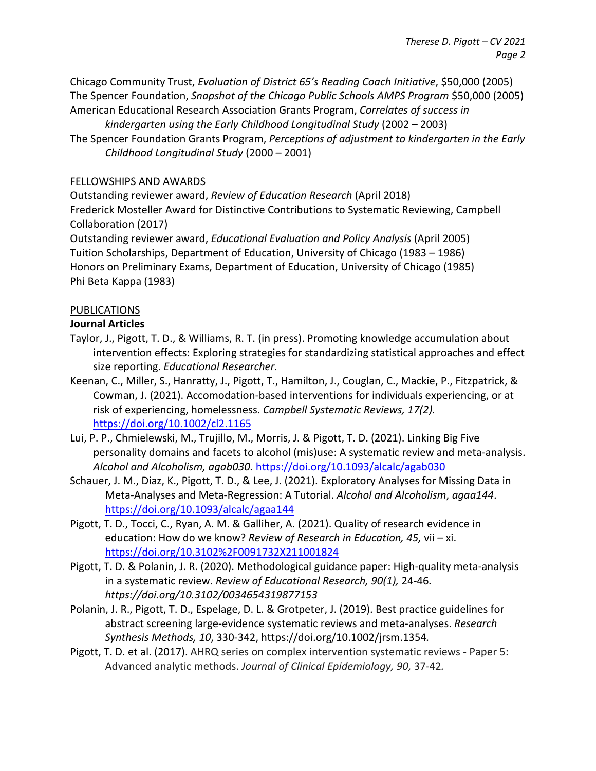Chicago Community Trust, *Evaluation of District 65's Reading Coach Initiative*, \$50,000 (2005) The Spencer Foundation, *Snapshot of the Chicago Public Schools AMPS Program* \$50,000 (2005) American Educational Research Association Grants Program, *Correlates of success in* 

*kindergarten using the Early Childhood Longitudinal Study* (2002 – 2003) The Spencer Foundation Grants Program, *Perceptions of adjustment to kindergarten in the Early Childhood Longitudinal Study* (2000 – 2001)

### FELLOWSHIPS AND AWARDS

Outstanding reviewer award, *Review of Education Research* (April 2018) Frederick Mosteller Award for Distinctive Contributions to Systematic Reviewing, Campbell Collaboration (2017)

Outstanding reviewer award, *Educational Evaluation and Policy Analysis* (April 2005) Tuition Scholarships, Department of Education, University of Chicago (1983 – 1986) Honors on Preliminary Exams, Department of Education, University of Chicago (1985) Phi Beta Kappa (1983)

#### PUBLICATIONS

#### **Journal Articles**

- Taylor, J., Pigott, T. D., & Williams, R. T. (in press). Promoting knowledge accumulation about intervention effects: Exploring strategies for standardizing statistical approaches and effect size reporting. *Educational Researcher.*
- Keenan, C., Miller, S., Hanratty, J., Pigott, T., Hamilton, J., Couglan, C., Mackie, P., Fitzpatrick, & Cowman, J. (2021). Accomodation-based interventions for individuals experiencing, or at risk of experiencing, homelessness. *Campbell Systematic Reviews, 17(2).*  <https://doi.org/10.1002/cl2.1165>
- Lui, P. P., Chmielewski, M., Trujillo, M., Morris, J. & Pigott, T. D. (2021). Linking Big Five personality domains and facets to alcohol (mis)use: A systematic review and meta-analysis. *Alcohol and Alcoholism, agab030.* <https://doi.org/10.1093/alcalc/agab030>
- Schauer, J. M., Diaz, K., Pigott, T. D., & Lee, J. (2021). Exploratory Analyses for Missing Data in Meta-Analyses and Meta-Regression: A Tutorial. *Alcohol and Alcoholism*, *agaa144*. <https://doi.org/10.1093/alcalc/agaa144>
- Pigott, T. D., Tocci, C., Ryan, A. M. & Galliher, A. (2021). Quality of research evidence in education: How do we know? *Review of Research in Education, 45,* vii – xi. <https://doi.org/10.3102%2F0091732X211001824>
- Pigott, T. D. & Polanin, J. R. (2020). Methodological guidance paper: High-quality meta-analysis in a systematic review. *Review of Educational Research, 90(1),* 24-46*. https://doi.org/10.3102/0034654319877153*
- Polanin, J. R., Pigott, T. D., Espelage, D. L. & Grotpeter, J. (2019). Best practice guidelines for abstract screening large-evidence systematic reviews and meta-analyses. *Research Synthesis Methods, 10*, 330-342, https://doi.org/10.1002/jrsm.1354*.*
- Pigott, T. D. et al. (2017). AHRQ series on complex intervention systematic reviews Paper 5: Advanced analytic methods. *Journal of Clinical Epidemiology, 90,* 37-42*.*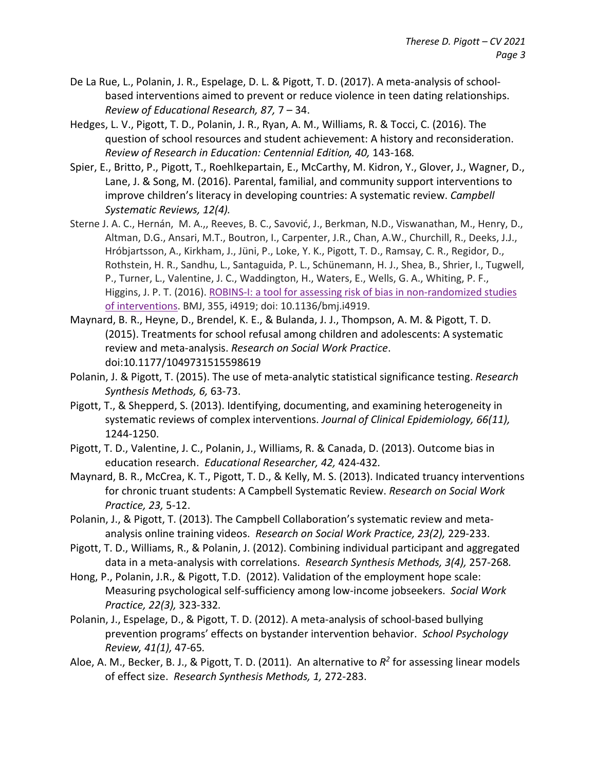- De La Rue, L., Polanin, J. R., Espelage, D. L. & Pigott, T. D. (2017). A meta-analysis of schoolbased interventions aimed to prevent or reduce violence in teen dating relationships. *Review of Educational Research, 87,* 7 – 34.
- Hedges, L. V., Pigott, T. D., Polanin, J. R., Ryan, A. M., Williams, R. & Tocci, C. (2016). The question of school resources and student achievement: A history and reconsideration. *Review of Research in Education: Centennial Edition, 40,* 143-168*.*
- Spier, E., Britto, P., Pigott, T., Roehlkepartain, E., McCarthy, M. Kidron, Y., Glover, J., Wagner, D., Lane, J. & Song, M. (2016). Parental, familial, and community support interventions to improve children's literacy in developing countries: A systematic review. *Campbell Systematic Reviews, 12(4).*
- Sterne J. A. C., Hernán, M. A.,, Reeves, B. C., Savović, J., Berkman, N.D., Viswanathan, M., Henry, D., Altman, D.G., Ansari, M.T., Boutron, I., Carpenter, J.R., Chan, A.W., Churchill, R., Deeks, J.J., Hróbjartsson, A., Kirkham, J., Jüni, P., Loke, Y. K., Pigott, T. D., Ramsay, C. R., Regidor, D., Rothstein, H. R., Sandhu, L., Santaguida, P. L., Schünemann, H. J., Shea, B., Shrier, I., Tugwell, P., Turner, L., Valentine, J. C., Waddington, H., Waters, E., Wells, G. A., Whiting, P. F., Higgins, J. P. T. (2016). [ROBINS-I: a tool for assessing risk of bias in non-randomized studies](http://www.google.com/url?q=http%3A%2F%2Fwww.bmj.com%2Fcontent%2F355%2Fbmj.i4919&sa=D&sntz=1&usg=AFQjCNGYIu26tOB6p6IYibG2FTB7cU-gJQ)  [of interventions.](http://www.google.com/url?q=http%3A%2F%2Fwww.bmj.com%2Fcontent%2F355%2Fbmj.i4919&sa=D&sntz=1&usg=AFQjCNGYIu26tOB6p6IYibG2FTB7cU-gJQ) BMJ, 355, i4919; doi: 10.1136/bmj.i4919.
- Maynard, B. R., Heyne, D., Brendel, K. E., & Bulanda, J. J., Thompson, A. M. & Pigott, T. D. (2015). Treatments for school refusal among children and adolescents: A systematic review and meta-analysis. *Research on Social Work Practice*. doi:10.1177/1049731515598619
- Polanin, J. & Pigott, T. (2015). The use of meta-analytic statistical significance testing. *Research Synthesis Methods, 6,* 63-73.
- Pigott, T., & Shepperd, S. (2013). Identifying, documenting, and examining heterogeneity in systematic reviews of complex interventions. *Journal of Clinical Epidemiology, 66(11),*  1244-1250.
- Pigott, T. D., Valentine, J. C., Polanin, J., Williams, R. & Canada, D. (2013). Outcome bias in education research. *Educational Researcher, 42,* 424-432*.*
- Maynard, B. R., McCrea, K. T., Pigott, T. D., & Kelly, M. S. (2013). Indicated truancy interventions for chronic truant students: A Campbell Systematic Review. *Research on Social Work Practice, 23,* 5-12.
- Polanin, J., & Pigott, T. (2013). The Campbell Collaboration's systematic review and metaanalysis online training videos. *Research on Social Work Practice, 23(2),* 229-233.
- Pigott, T. D., Williams, R., & Polanin, J. (2012). Combining individual participant and aggregated data in a meta-analysis with correlations. *Research Synthesis Methods, 3(4),* 257-268*.*
- Hong, P., Polanin, J.R., & Pigott, T.D. (2012). Validation of the employment hope scale: Measuring psychological self-sufficiency among low-income jobseekers. *Social Work Practice, 22(3),* 323-332*.*
- Polanin, J., Espelage, D., & Pigott, T. D. (2012). A meta-analysis of school-based bullying prevention programs' effects on bystander intervention behavior. *School Psychology Review, 41(1),* 47-65*.*
- Aloe, A. M., Becker, B. J., & Pigott, T. D. (2011). An alternative to *R2* for assessing linear models of effect size. *Research Synthesis Methods, 1,* 272-283.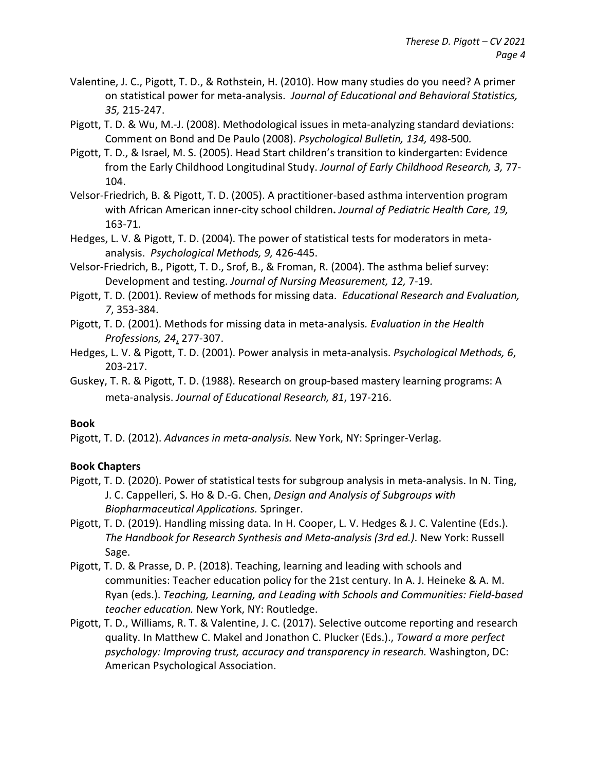- Valentine, J. C., Pigott, T. D., & Rothstein, H. (2010). How many studies do you need? A primer on statistical power for meta-analysis. *Journal of Educational and Behavioral Statistics, 35,* 215-247.
- Pigott, T. D. & Wu, M.-J. (2008). Methodological issues in meta-analyzing standard deviations: Comment on Bond and De Paulo (2008). *Psychological Bulletin, 134,* 498-500*.*
- Pigott, T. D., & Israel, M. S. (2005). Head Start children's transition to kindergarten: Evidence from the Early Childhood Longitudinal Study. *Journal of Early Childhood Research, 3,* 77- 104.
- Velsor-Friedrich, B. & Pigott, T. D. (2005). A practitioner-based asthma intervention program with African American inner-city school children**.** *Journal of Pediatric Health Care, 19,*  163-71*.*
- Hedges, L. V. & Pigott, T. D. (2004). The power of statistical tests for moderators in metaanalysis. *Psychological Methods, 9,* 426-445.
- Velsor-Friedrich, B., Pigott, T. D., Srof, B., & Froman, R. (2004). The asthma belief survey: Development and testing. *Journal of Nursing Measurement, 12,* 7-19*.*
- Pigott, T. D. (2001). Review of methods for missing data. *Educational Research and Evaluation, 7*, 353-384.
- Pigott, T. D. (2001). Methods for missing data in meta-analysis*. Evaluation in the Health Professions, 24*, 277-307.
- Hedges, L. V. & Pigott, T. D. (2001). Power analysis in meta-analysis. *Psychological Methods, 6*, 203-217.
- Guskey, T. R. & Pigott, T. D. (1988). Research on group-based mastery learning programs: A meta-analysis. *Journal of Educational Research, 81*, 197-216.

## **Book**

Pigott, T. D. (2012). *Advances in meta-analysis.* New York, NY: Springer-Verlag.

## **Book Chapters**

- Pigott, T. D. (2020). Power of statistical tests for subgroup analysis in meta-analysis. In N. Ting, J. C. Cappelleri, S. Ho & D.-G. Chen, *Design and Analysis of Subgroups with Biopharmaceutical Applications.* Springer.
- Pigott, T. D. (2019). Handling missing data. In H. Cooper, L. V. Hedges & J. C. Valentine (Eds.). *The Handbook for Research Synthesis and Meta-analysis (3rd ed.)*. New York: Russell Sage.
- Pigott, T. D. & Prasse, D. P. (2018). Teaching, learning and leading with schools and communities: Teacher education policy for the 21st century. In A. J. Heineke & A. M. Ryan (eds.). *Teaching, Learning, and Leading with Schools and Communities: Field-based teacher education.* New York, NY: Routledge.
- Pigott, T. D., Williams, R. T. & Valentine, J. C. (2017). Selective outcome reporting and research quality. In Matthew C. Makel and Jonathon C. Plucker (Eds.)., *Toward a more perfect psychology: Improving trust, accuracy and transparency in research.* Washington, DC: American Psychological Association.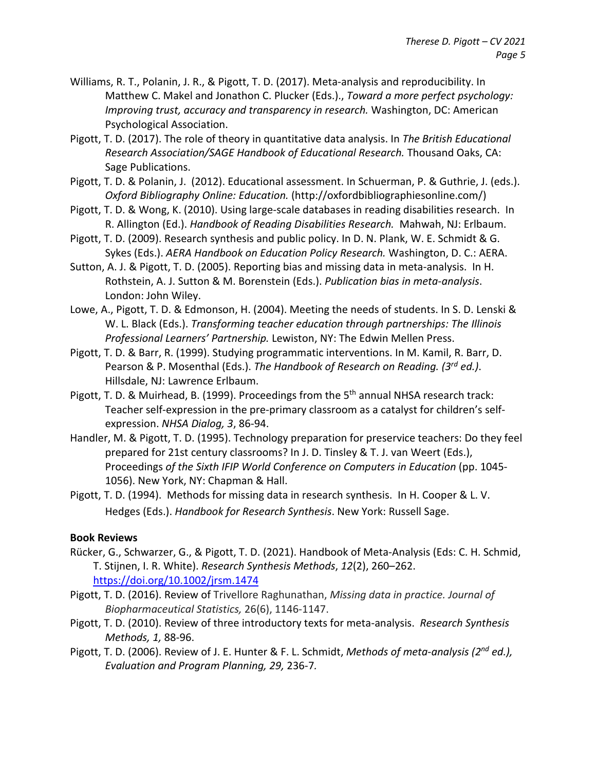- Williams, R. T., Polanin, J. R., & Pigott, T. D. (2017). Meta-analysis and reproducibility. In Matthew C. Makel and Jonathon C. Plucker (Eds.)., *Toward a more perfect psychology: Improving trust, accuracy and transparency in research.* Washington, DC: American Psychological Association.
- Pigott, T. D. (2017). The role of theory in quantitative data analysis. In *The British Educational Research Association/SAGE Handbook of Educational Research.* Thousand Oaks, CA: Sage Publications.
- Pigott, T. D. & Polanin, J. (2012). Educational assessment. In Schuerman, P. & Guthrie, J. (eds.). *Oxford Bibliography Online: Education.* (http://oxfordbibliographiesonline.com/)
- Pigott, T. D. & Wong, K. (2010). Using large-scale databases in reading disabilities research. In R. Allington (Ed.). *Handbook of Reading Disabilities Research.* Mahwah, NJ: Erlbaum.
- Pigott, T. D. (2009). Research synthesis and public policy. In D. N. Plank, W. E. Schmidt & G. Sykes (Eds.). *AERA Handbook on Education Policy Research.* Washington, D. C.: AERA.
- Sutton, A. J. & Pigott, T. D. (2005). Reporting bias and missing data in meta-analysis. In H. Rothstein, A. J. Sutton & M. Borenstein (Eds.). *Publication bias in meta-analysis*. London: John Wiley.
- Lowe, A., Pigott, T. D. & Edmonson, H. (2004). Meeting the needs of students. In S. D. Lenski & W. L. Black (Eds.). *Transforming teacher education through partnerships: The Illinois Professional Learners' Partnership.* Lewiston, NY: The Edwin Mellen Press.
- Pigott, T. D. & Barr, R. (1999). Studying programmatic interventions. In M. Kamil, R. Barr, D. Pearson & P. Mosenthal (Eds.). *The Handbook of Research on Reading. (3rd ed.)*. Hillsdale, NJ: Lawrence Erlbaum.
- Pigott, T. D. & Muirhead, B. (1999). Proceedings from the 5<sup>th</sup> annual NHSA research track: Teacher self-expression in the pre-primary classroom as a catalyst for children's selfexpression. *NHSA Dialog, 3*, 86-94.
- Handler, M. & Pigott, T. D. (1995). Technology preparation for preservice teachers: Do they feel prepared for 21st century classrooms? In J. D. Tinsley & T. J. van Weert (Eds.), Proceedings *of the Sixth IFIP World Conference on Computers in Education* (pp. 1045- 1056). New York, NY: Chapman & Hall.
- Pigott, T. D. (1994). Methods for missing data in research synthesis. In H. Cooper & L. V. Hedges (Eds.). *Handbook for Research Synthesis*. New York: Russell Sage.

## **Book Reviews**

- Rücker, G., Schwarzer, G., & Pigott, T. D. (2021). Handbook of Meta-Analysis (Eds: C. H. Schmid, T. Stijnen, I. R. White). *Research Synthesis Methods*, *12*(2), 260–262. <https://doi.org/10.1002/jrsm.1474>
- Pigott, T. D. (2016). Review of Trivellore Raghunathan, *Missing data in practice. Journal of Biopharmaceutical Statistics,* 26(6), 1146-1147.
- Pigott, T. D. (2010). Review of three introductory texts for meta-analysis. *Research Synthesis Methods, 1,* 88-96.
- Pigott, T. D. (2006). Review of J. E. Hunter & F. L. Schmidt, *Methods of meta-analysis (2nd ed.), Evaluation and Program Planning, 29,* 236-7*.*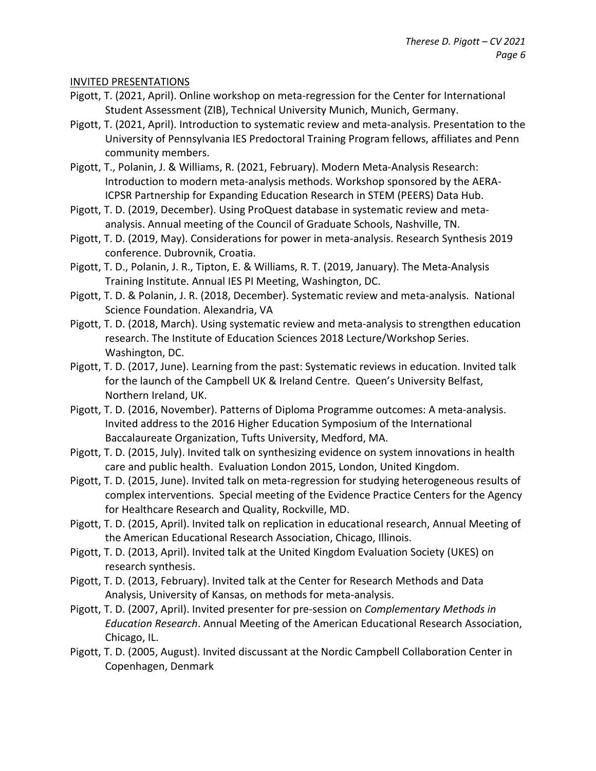#### INVITED PRESENTATIONS

- Pigott, T. (2021, April). Online workshop on meta-regression for the Center for International Student Assessment (ZIB), Technical University Munich, Munich, Germany.
- Pigott, T. (2021, April). Introduction to systematic review and meta-analysis. Presentation to the University of Pennsylvania IES Predoctoral Training Program fellows, affiliates and Penn community members.
- Pigott, T., Polanin, J. & Williams, R. (2021, February). Modern Meta-Analysis Research: Introduction to modern meta-analysis methods. Workshop sponsored by the AERA-ICPSR Partnership for Expanding Education Research in STEM (PEERS) Data Hub.
- Pigott, T. D. (2019, December). Using ProQuest database in systematic review and metaanalysis. Annual meeting of the Council of Graduate Schools, Nashville, TN.
- Pigott, T. D. (2019, May). Considerations for power in meta-analysis. Research Synthesis 2019 conference. Dubrovnik, Croatia.
- Pigott, T. D., Polanin, J. R., Tipton, E. & Williams, R. T. (2019, January). The Meta-Analysis Training Institute. Annual IES PI Meeting, Washington, DC.
- Pigott, T. D. & Polanin, J. R. (2018, December). Systematic review and meta-analysis. National Science Foundation. Alexandria, VA
- Pigott, T. D. (2018, March). Using systematic review and meta-analysis to strengthen education research. The Institute of Education Sciences 2018 Lecture/Workshop Series. Washington, DC.
- Pigott, T. D. (2017, June). Learning from the past: Systematic reviews in education. Invited talk for the launch of the Campbell UK & Ireland Centre. Queen's University Belfast, Northern Ireland, UK.
- Pigott, T. D. (2016, November). Patterns of Diploma Programme outcomes: A meta-analysis. Invited address to the 2016 Higher Education Symposium of the International Baccalaureate Organization, Tufts University, Medford, MA.
- Pigott, T. D. (2015, July). Invited talk on synthesizing evidence on system innovations in health care and public health. Evaluation London 2015, London, United Kingdom.
- Pigott, T. D. (2015, June). Invited talk on meta-regression for studying heterogeneous results of complex interventions. Special meeting of the Evidence Practice Centers for the Agency for Healthcare Research and Quality, Rockville, MD.
- Pigott, T. D. (2015, April). Invited talk on replication in educational research, Annual Meeting of the American Educational Research Association, Chicago, Illinois.
- Pigott, T. D. (2013, April). Invited talk at the United Kingdom Evaluation Society (UKES) on research synthesis.
- Pigott, T. D. (2013, February). Invited talk at the Center for Research Methods and Data Analysis, University of Kansas, on methods for meta-analysis.
- Pigott, T. D. (2007, April). Invited presenter for pre-session on *Complementary Methods in Education Research*. Annual Meeting of the American Educational Research Association, Chicago, IL.
- Pigott, T. D. (2005, August). Invited discussant at the Nordic Campbell Collaboration Center in Copenhagen, Denmark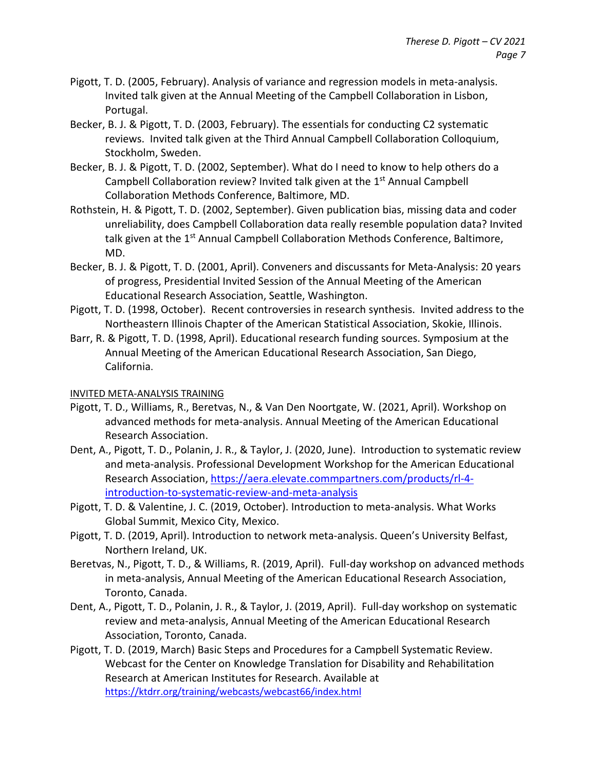- Pigott, T. D. (2005, February). Analysis of variance and regression models in meta-analysis. Invited talk given at the Annual Meeting of the Campbell Collaboration in Lisbon, Portugal.
- Becker, B. J. & Pigott, T. D. (2003, February). The essentials for conducting C2 systematic reviews. Invited talk given at the Third Annual Campbell Collaboration Colloquium, Stockholm, Sweden.
- Becker, B. J. & Pigott, T. D. (2002, September). What do I need to know to help others do a Campbell Collaboration review? Invited talk given at the 1<sup>st</sup> Annual Campbell Collaboration Methods Conference, Baltimore, MD.
- Rothstein, H. & Pigott, T. D. (2002, September). Given publication bias, missing data and coder unreliability, does Campbell Collaboration data really resemble population data? Invited talk given at the 1<sup>st</sup> Annual Campbell Collaboration Methods Conference, Baltimore, MD.
- Becker, B. J. & Pigott, T. D. (2001, April). Conveners and discussants for Meta-Analysis: 20 years of progress, Presidential Invited Session of the Annual Meeting of the American Educational Research Association, Seattle, Washington.
- Pigott, T. D. (1998, October). Recent controversies in research synthesis. Invited address to the Northeastern Illinois Chapter of the American Statistical Association, Skokie, Illinois.
- Barr, R. & Pigott, T. D. (1998, April). Educational research funding sources. Symposium at the Annual Meeting of the American Educational Research Association, San Diego, California.

## INVITED META-ANALYSIS TRAINING

- Pigott, T. D., Williams, R., Beretvas, N., & Van Den Noortgate, W. (2021, April). Workshop on advanced methods for meta-analysis. Annual Meeting of the American Educational Research Association.
- Dent, A., Pigott, T. D., Polanin, J. R., & Taylor, J. (2020, June). Introduction to systematic review and meta-analysis. Professional Development Workshop for the American Educational Research Association, [https://aera.elevate.commpartners.com/products/rl-4](https://aera.elevate.commpartners.com/products/rl-4-introduction-to-systematic-review-and-meta-analysis) [introduction-to-systematic-review-and-meta-analysis](https://aera.elevate.commpartners.com/products/rl-4-introduction-to-systematic-review-and-meta-analysis)
- Pigott, T. D. & Valentine, J. C. (2019, October). Introduction to meta-analysis. What Works Global Summit, Mexico City, Mexico.
- Pigott, T. D. (2019, April). Introduction to network meta-analysis. Queen's University Belfast, Northern Ireland, UK.
- Beretvas, N., Pigott, T. D., & Williams, R. (2019, April). Full-day workshop on advanced methods in meta-analysis, Annual Meeting of the American Educational Research Association, Toronto, Canada.
- Dent, A., Pigott, T. D., Polanin, J. R., & Taylor, J. (2019, April). Full-day workshop on systematic review and meta-analysis, Annual Meeting of the American Educational Research Association, Toronto, Canada.
- Pigott, T. D. (2019, March) Basic Steps and Procedures for a Campbell Systematic Review. Webcast for the Center on Knowledge Translation for Disability and Rehabilitation Research at American Institutes for Research. Available at <https://ktdrr.org/training/webcasts/webcast66/index.html>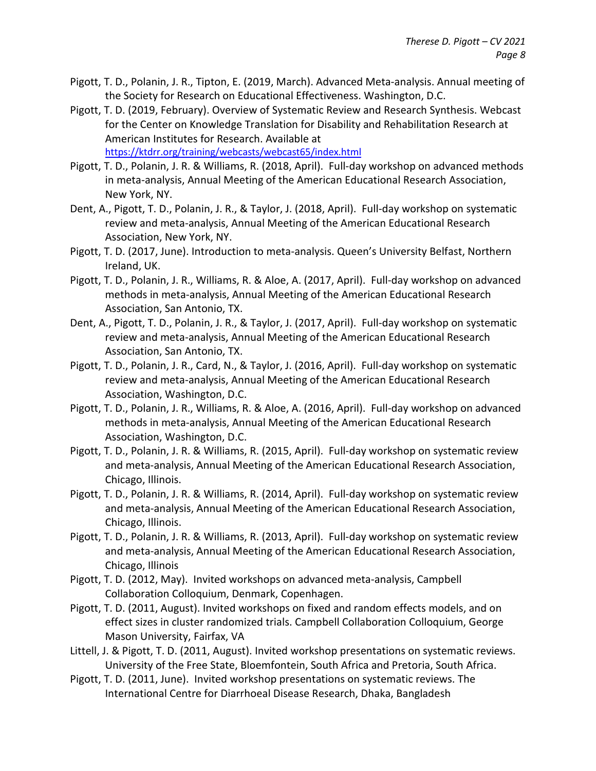- Pigott, T. D., Polanin, J. R., Tipton, E. (2019, March). Advanced Meta-analysis. Annual meeting of the Society for Research on Educational Effectiveness. Washington, D.C.
- Pigott, T. D. (2019, February). Overview of Systematic Review and Research Synthesis. Webcast for the Center on Knowledge Translation for Disability and Rehabilitation Research at American Institutes for Research. Available at <https://ktdrr.org/training/webcasts/webcast65/index.html>
- Pigott, T. D., Polanin, J. R. & Williams, R. (2018, April). Full-day workshop on advanced methods in meta-analysis, Annual Meeting of the American Educational Research Association, New York, NY.
- Dent, A., Pigott, T. D., Polanin, J. R., & Taylor, J. (2018, April). Full-day workshop on systematic review and meta-analysis, Annual Meeting of the American Educational Research Association, New York, NY.
- Pigott, T. D. (2017, June). Introduction to meta-analysis. Queen's University Belfast, Northern Ireland, UK.
- Pigott, T. D., Polanin, J. R., Williams, R. & Aloe, A. (2017, April). Full-day workshop on advanced methods in meta-analysis, Annual Meeting of the American Educational Research Association, San Antonio, TX.
- Dent, A., Pigott, T. D., Polanin, J. R., & Taylor, J. (2017, April). Full-day workshop on systematic review and meta-analysis, Annual Meeting of the American Educational Research Association, San Antonio, TX.
- Pigott, T. D., Polanin, J. R., Card, N., & Taylor, J. (2016, April). Full-day workshop on systematic review and meta-analysis, Annual Meeting of the American Educational Research Association, Washington, D.C.
- Pigott, T. D., Polanin, J. R., Williams, R. & Aloe, A. (2016, April). Full-day workshop on advanced methods in meta-analysis, Annual Meeting of the American Educational Research Association, Washington, D.C.
- Pigott, T. D., Polanin, J. R. & Williams, R. (2015, April). Full-day workshop on systematic review and meta-analysis, Annual Meeting of the American Educational Research Association, Chicago, Illinois.
- Pigott, T. D., Polanin, J. R. & Williams, R. (2014, April). Full-day workshop on systematic review and meta-analysis, Annual Meeting of the American Educational Research Association, Chicago, Illinois.
- Pigott, T. D., Polanin, J. R. & Williams, R. (2013, April). Full-day workshop on systematic review and meta-analysis, Annual Meeting of the American Educational Research Association, Chicago, Illinois
- Pigott, T. D. (2012, May). Invited workshops on advanced meta-analysis, Campbell Collaboration Colloquium, Denmark, Copenhagen.
- Pigott, T. D. (2011, August). Invited workshops on fixed and random effects models, and on effect sizes in cluster randomized trials. Campbell Collaboration Colloquium, George Mason University, Fairfax, VA
- Littell, J. & Pigott, T. D. (2011, August). Invited workshop presentations on systematic reviews. University of the Free State, Bloemfontein, South Africa and Pretoria, South Africa.
- Pigott, T. D. (2011, June). Invited workshop presentations on systematic reviews. The International Centre for Diarrhoeal Disease Research, Dhaka, Bangladesh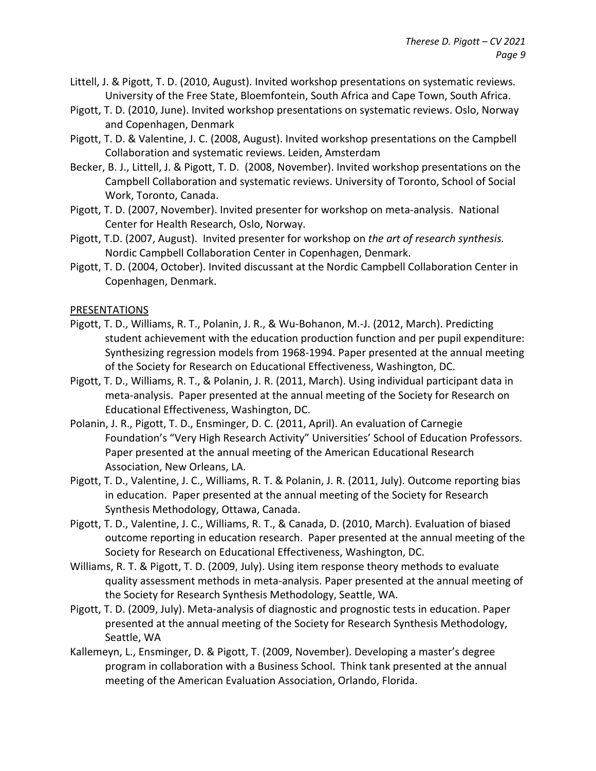- Littell, J. & Pigott, T. D. (2010, August). Invited workshop presentations on systematic reviews. University of the Free State, Bloemfontein, South Africa and Cape Town, South Africa.
- Pigott, T. D. (2010, June). Invited workshop presentations on systematic reviews. Oslo, Norway and Copenhagen, Denmark
- Pigott, T. D. & Valentine, J. C. (2008, August). Invited workshop presentations on the Campbell Collaboration and systematic reviews. Leiden, Amsterdam
- Becker, B. J., Littell, J. & Pigott, T. D. (2008, November). Invited workshop presentations on the Campbell Collaboration and systematic reviews. University of Toronto, School of Social Work, Toronto, Canada.
- Pigott, T. D. (2007, November). Invited presenter for workshop on meta-analysis. National Center for Health Research, Oslo, Norway.
- Pigott, T.D. (2007, August). Invited presenter for workshop on *the art of research synthesis.* Nordic Campbell Collaboration Center in Copenhagen, Denmark.
- Pigott, T. D. (2004, October). Invited discussant at the Nordic Campbell Collaboration Center in Copenhagen, Denmark.

#### PRESENTATIONS

- Pigott, T. D., Williams, R. T., Polanin, J. R., & Wu-Bohanon, M.-J. (2012, March). Predicting student achievement with the education production function and per pupil expenditure: Synthesizing regression models from 1968-1994. Paper presented at the annual meeting of the Society for Research on Educational Effectiveness, Washington, DC.
- Pigott, T. D., Williams, R. T., & Polanin, J. R. (2011, March). Using individual participant data in meta-analysis. Paper presented at the annual meeting of the Society for Research on Educational Effectiveness, Washington, DC.
- Polanin, J. R., Pigott, T. D., Ensminger, D. C. (2011, April). An evaluation of Carnegie Foundation's "Very High Research Activity" Universities' School of Education Professors. Paper presented at the annual meeting of the American Educational Research Association, New Orleans, LA.
- Pigott, T. D., Valentine, J. C., Williams, R. T. & Polanin, J. R. (2011, July). Outcome reporting bias in education. Paper presented at the annual meeting of the Society for Research Synthesis Methodology, Ottawa, Canada.
- Pigott, T. D., Valentine, J. C., Williams, R. T., & Canada, D. (2010, March). Evaluation of biased outcome reporting in education research. Paper presented at the annual meeting of the Society for Research on Educational Effectiveness, Washington, DC.
- Williams, R. T. & Pigott, T. D. (2009, July). Using item response theory methods to evaluate quality assessment methods in meta-analysis. Paper presented at the annual meeting of the Society for Research Synthesis Methodology, Seattle, WA.
- Pigott, T. D. (2009, July). Meta-analysis of diagnostic and prognostic tests in education. Paper presented at the annual meeting of the Society for Research Synthesis Methodology, Seattle, WA
- Kallemeyn, L., Ensminger, D. & Pigott, T. (2009, November). Developing a master's degree program in collaboration with a Business School. Think tank presented at the annual meeting of the American Evaluation Association, Orlando, Florida.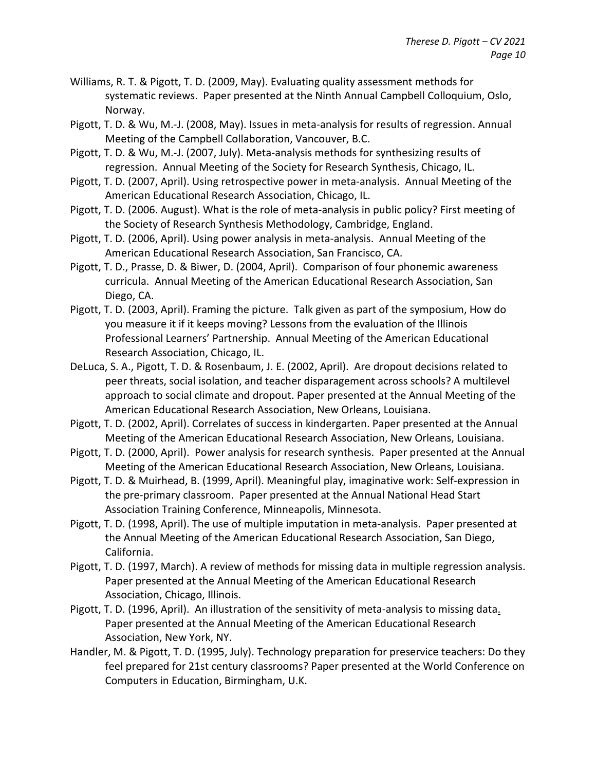- Williams, R. T. & Pigott, T. D. (2009, May). Evaluating quality assessment methods for systematic reviews. Paper presented at the Ninth Annual Campbell Colloquium, Oslo, Norway.
- Pigott, T. D. & Wu, M.-J. (2008, May). Issues in meta-analysis for results of regression. Annual Meeting of the Campbell Collaboration, Vancouver, B.C.
- Pigott, T. D. & Wu, M.-J. (2007, July). Meta-analysis methods for synthesizing results of regression. Annual Meeting of the Society for Research Synthesis, Chicago, IL.
- Pigott, T. D. (2007, April). Using retrospective power in meta-analysis. Annual Meeting of the American Educational Research Association, Chicago, IL.
- Pigott, T. D. (2006. August). What is the role of meta-analysis in public policy? First meeting of the Society of Research Synthesis Methodology, Cambridge, England.
- Pigott, T. D. (2006, April). Using power analysis in meta-analysis. Annual Meeting of the American Educational Research Association, San Francisco, CA.
- Pigott, T. D., Prasse, D. & Biwer, D. (2004, April). Comparison of four phonemic awareness curricula. Annual Meeting of the American Educational Research Association, San Diego, CA.
- Pigott, T. D. (2003, April). Framing the picture. Talk given as part of the symposium, How do you measure it if it keeps moving? Lessons from the evaluation of the Illinois Professional Learners' Partnership. Annual Meeting of the American Educational Research Association, Chicago, IL.
- DeLuca, S. A., Pigott, T. D. & Rosenbaum, J. E. (2002, April). Are dropout decisions related to peer threats, social isolation, and teacher disparagement across schools? A multilevel approach to social climate and dropout. Paper presented at the Annual Meeting of the American Educational Research Association, New Orleans, Louisiana.
- Pigott, T. D. (2002, April). Correlates of success in kindergarten. Paper presented at the Annual Meeting of the American Educational Research Association, New Orleans, Louisiana.
- Pigott, T. D. (2000, April). Power analysis for research synthesis. Paper presented at the Annual Meeting of the American Educational Research Association, New Orleans, Louisiana.
- Pigott, T. D. & Muirhead, B. (1999, April). Meaningful play, imaginative work: Self-expression in the pre-primary classroom. Paper presented at the Annual National Head Start Association Training Conference, Minneapolis, Minnesota.
- Pigott, T. D. (1998, April). The use of multiple imputation in meta-analysis. Paper presented at the Annual Meeting of the American Educational Research Association, San Diego, California.
- Pigott, T. D. (1997, March). A review of methods for missing data in multiple regression analysis. Paper presented at the Annual Meeting of the American Educational Research Association, Chicago, Illinois.
- Pigott, T. D. (1996, April). An illustration of the sensitivity of meta-analysis to missing data. Paper presented at the Annual Meeting of the American Educational Research Association, New York, NY.
- Handler, M. & Pigott, T. D. (1995, July). Technology preparation for preservice teachers: Do they feel prepared for 21st century classrooms? Paper presented at the World Conference on Computers in Education, Birmingham, U.K.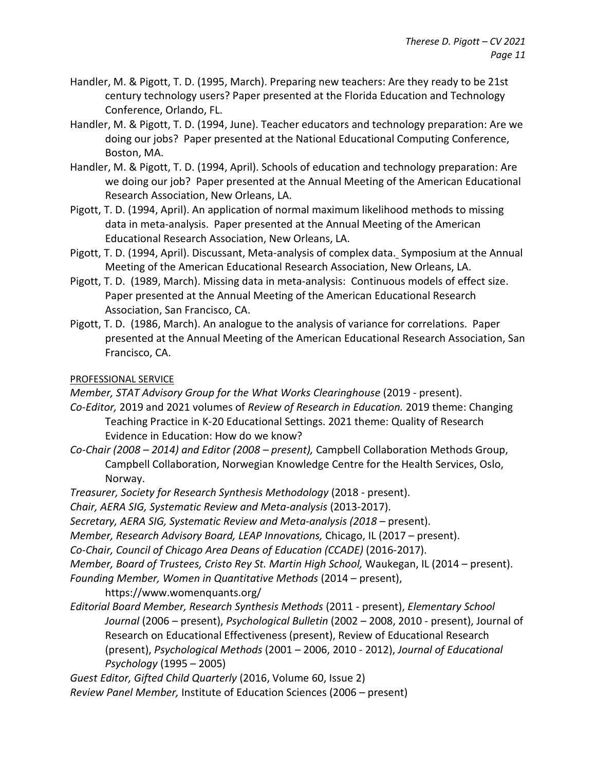- Handler, M. & Pigott, T. D. (1995, March). Preparing new teachers: Are they ready to be 21st century technology users? Paper presented at the Florida Education and Technology Conference, Orlando, FL.
- Handler, M. & Pigott, T. D. (1994, June). Teacher educators and technology preparation: Are we doing our jobs? Paper presented at the National Educational Computing Conference, Boston, MA.
- Handler, M. & Pigott, T. D. (1994, April). Schools of education and technology preparation: Are we doing our job? Paper presented at the Annual Meeting of the American Educational Research Association, New Orleans, LA.
- Pigott, T. D. (1994, April). An application of normal maximum likelihood methods to missing data in meta-analysis. Paper presented at the Annual Meeting of the American Educational Research Association, New Orleans, LA.
- Pigott, T. D. (1994, April). Discussant, Meta-analysis of complex data. Symposium at the Annual Meeting of the American Educational Research Association, New Orleans, LA.
- Pigott, T. D. (1989, March). Missing data in meta-analysis: Continuous models of effect size. Paper presented at the Annual Meeting of the American Educational Research Association, San Francisco, CA.
- Pigott, T. D. (1986, March). An analogue to the analysis of variance for correlations. Paper presented at the Annual Meeting of the American Educational Research Association, San Francisco, CA.

### PROFESSIONAL SERVICE

*Member, STAT Advisory Group for the What Works Clearinghouse* (2019 - present).

- *Co-Editor,* 2019 and 2021 volumes of *Review of Research in Education.* 2019 theme: Changing Teaching Practice in K-20 Educational Settings. 2021 theme: Quality of Research Evidence in Education: How do we know?
- *Co-Chair (2008 – 2014) and Editor (2008 – present),* Campbell Collaboration Methods Group, Campbell Collaboration, Norwegian Knowledge Centre for the Health Services, Oslo, Norway.
- *Treasurer, Society for Research Synthesis Methodology* (2018 present).

*Chair, AERA SIG, Systematic Review and Meta-analysis* (2013-2017).

- *Secretary, AERA SIG, Systematic Review and Meta-analysis (2018 –* present).
- *Member, Research Advisory Board, LEAP Innovations,* Chicago, IL (2017 present).

*Co-Chair, Council of Chicago Area Deans of Education (CCADE)* (2016-2017).

*Member, Board of Trustees, Cristo Rey St. Martin High School,* Waukegan, IL (2014 – present). *Founding Member, Women in Quantitative Methods* (2014 – present),

https://www.womenquants.org/

*Editorial Board Member, Research Synthesis Methods* (2011 - present), *Elementary School Journal* (2006 – present), *Psychological Bulletin* (2002 – 2008, 2010 - present), Journal of Research on Educational Effectiveness (present), Review of Educational Research (present), *Psychological Methods* (2001 – 2006, 2010 - 2012), *Journal of Educational Psychology* (1995 – 2005)

*Guest Editor, Gifted Child Quarterly* (2016, Volume 60, Issue 2)

*Review Panel Member,* Institute of Education Sciences (2006 – present)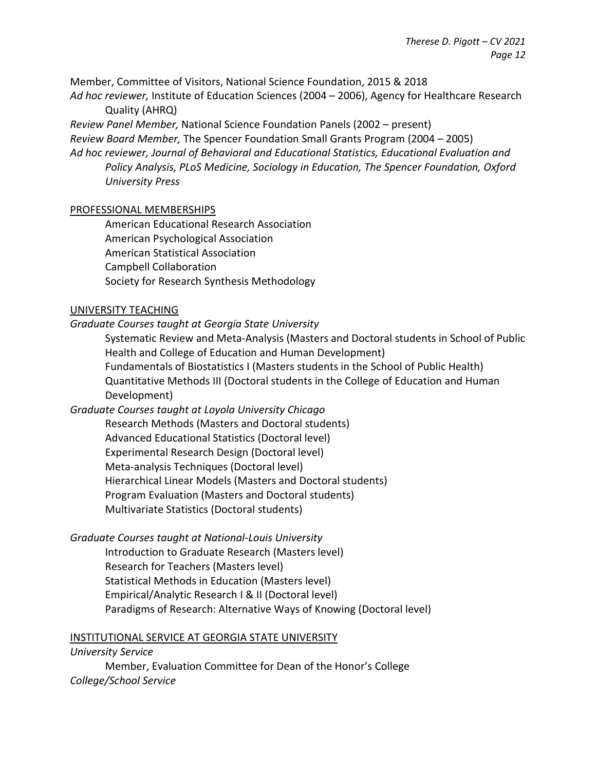Member, Committee of Visitors, National Science Foundation, 2015 & 2018

*Ad hoc reviewer,* Institute of Education Sciences (2004 – 2006), Agency for Healthcare Research Quality (AHRQ)

*Review Panel Member,* National Science Foundation Panels (2002 – present) *Review Board Member,* The Spencer Foundation Small Grants Program (2004 – 2005) *Ad hoc reviewer, Journal of Behavioral and Educational Statistics, Educational Evaluation and Policy Analysis, PLoS Medicine, Sociology in Education, The Spencer Foundation, Oxford University Press*

### PROFESSIONAL MEMBERSHIPS

American Educational Research Association American Psychological Association American Statistical Association Campbell Collaboration Society for Research Synthesis Methodology

### UNIVERSITY TEACHING

### *Graduate Courses taught at Georgia State University*

Systematic Review and Meta-Analysis (Masters and Doctoral students in School of Public Health and College of Education and Human Development) Fundamentals of Biostatistics I (Masters students in the School of Public Health) Quantitative Methods III (Doctoral students in the College of Education and Human Development)

## *Graduate Courses taught at Loyola University Chicago*

Research Methods (Masters and Doctoral students) Advanced Educational Statistics (Doctoral level) Experimental Research Design (Doctoral level) Meta-analysis Techniques (Doctoral level) Hierarchical Linear Models (Masters and Doctoral students) Program Evaluation (Masters and Doctoral students) Multivariate Statistics (Doctoral students)

## *Graduate Courses taught at National-Louis University*

Introduction to Graduate Research (Masters level) Research for Teachers (Masters level) Statistical Methods in Education (Masters level) Empirical/Analytic Research I & II (Doctoral level) Paradigms of Research: Alternative Ways of Knowing (Doctoral level)

#### INSTITUTIONAL SERVICE AT GEORGIA STATE UNIVERSITY

*University Service*

Member, Evaluation Committee for Dean of the Honor's College *College/School Service*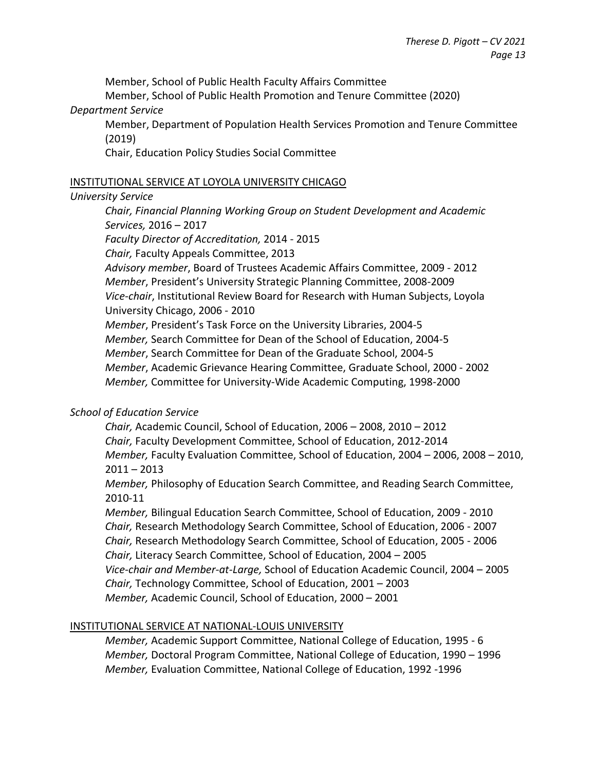Member, School of Public Health Faculty Affairs Committee

Member, School of Public Health Promotion and Tenure Committee (2020) *Department Service*

Member, Department of Population Health Services Promotion and Tenure Committee (2019)

Chair, Education Policy Studies Social Committee

#### INSTITUTIONAL SERVICE AT LOYOLA UNIVERSITY CHICAGO

### *University Service*

*Chair, Financial Planning Working Group on Student Development and Academic Services,* 2016 – 2017

*Faculty Director of Accreditation,* 2014 - 2015

*Chair,* Faculty Appeals Committee, 2013

*Advisory member*, Board of Trustees Academic Affairs Committee, 2009 - 2012 *Member*, President's University Strategic Planning Committee, 2008-2009 *Vice-chair*, Institutional Review Board for Research with Human Subjects, Loyola University Chicago, 2006 - 2010

*Member*, President's Task Force on the University Libraries, 2004-5

*Member,* Search Committee for Dean of the School of Education, 2004-5

*Member*, Search Committee for Dean of the Graduate School, 2004-5

*Member*, Academic Grievance Hearing Committee, Graduate School, 2000 - 2002

*Member,* Committee for University-Wide Academic Computing, 1998-2000

# *School of Education Service*

*Chair,* Academic Council, School of Education, 2006 – 2008, 2010 – 2012 *Chair,* Faculty Development Committee, School of Education, 2012-2014 *Member,* Faculty Evaluation Committee, School of Education, 2004 – 2006, 2008 – 2010,  $2011 - 2013$ 

*Member,* Philosophy of Education Search Committee, and Reading Search Committee, 2010-11

*Member,* Bilingual Education Search Committee, School of Education, 2009 - 2010 *Chair,* Research Methodology Search Committee, School of Education, 2006 - 2007 *Chair,* Research Methodology Search Committee, School of Education, 2005 - 2006 *Chair,* Literacy Search Committee, School of Education, 2004 – 2005 *Vice-chair and Member-at-Large,* School of Education Academic Council, 2004 – 2005 *Chair,* Technology Committee, School of Education, 2001 – 2003 *Member,* Academic Council, School of Education, 2000 – 2001

## INSTITUTIONAL SERVICE AT NATIONAL-LOUIS UNIVERSITY

*Member,* Academic Support Committee, National College of Education, 1995 - 6 *Member,* Doctoral Program Committee, National College of Education, 1990 – 1996 *Member,* Evaluation Committee, National College of Education, 1992 -1996